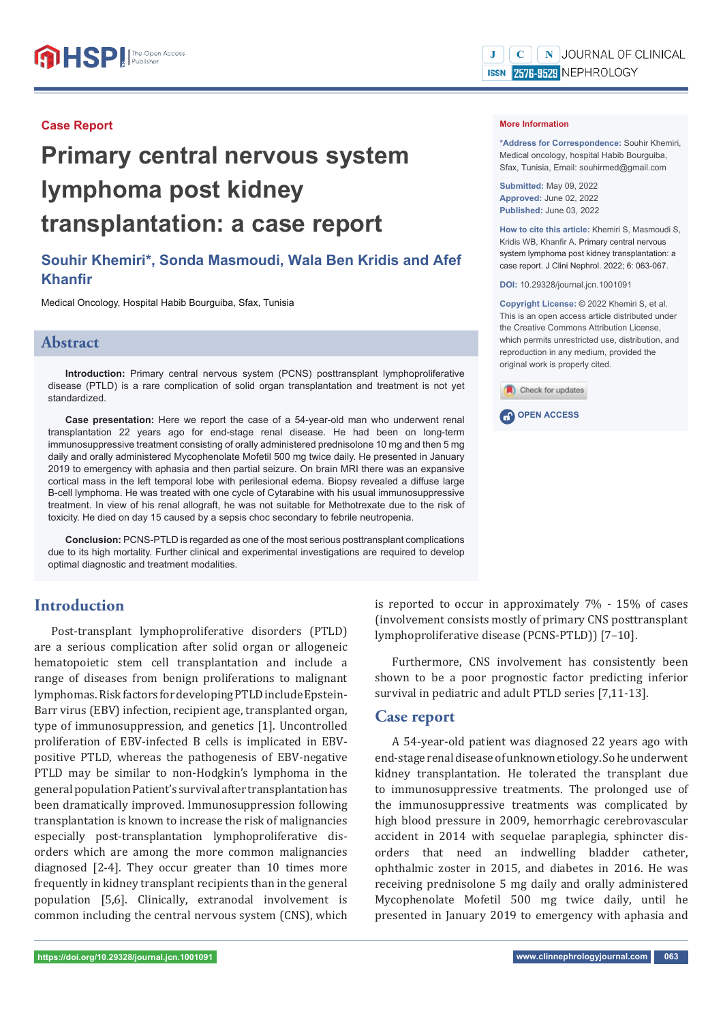#### **Case Report**

# **Primary central nervous system lymphoma post kidney transplantation: a case report**

# **Souhir Khemiri\*, Sonda Masmoudi, Wala Ben Kridis and Afef Khanfir**

Medical Oncology, Hospital Habib Bourguiba, Sfax, Tunisia

### **Abstract**

**Introduction:** Primary central nervous system (PCNS) posttransplant lymphoproliferative disease (PTLD) is a rare complication of solid organ transplantation and treatment is not yet standardized.

**Case presentation:** Here we report the case of a 54-year-old man who underwent renal transplantation 22 years ago for end-stage renal disease. He had been on long-term immunosuppressive treatment consisting of orally administered prednisolone 10 mg and then 5 mg daily and orally administered Mycophenolate Mofetil 500 mg twice daily. He presented in January 2019 to emergency with aphasia and then partial seizure. On brain MRI there was an expansive cortical mass in the left temporal lobe with perilesional edema. Biopsy revealed a diffuse large B-cell lymphoma. He was treated with one cycle of Cytarabine with his usual immunosuppressive treatment. In view of his renal allograft, he was not suitable for Methotrexate due to the risk of toxicity. He died on day 15 caused by a sepsis choc secondary to febrile neutropenia.

**Conclusion:** PCNS-PTLD is regarded as one of the most serious posttransplant complications due to its high mortality. Further clinical and experimental investigations are required to develop optimal diagnostic and treatment modalities.

# **Introduction**

Post-transplant lymphoproliferative disorders (PTLD) are a serious complication after solid organ or allogeneic hematopoietic stem cell transplantation and include a range of diseases from benign proliferations to malignant lymphomas. Risk factors for developing PTLD include Epstein-Barr virus (EBV) infection, recipient age, transplanted organ, type of immunosuppression, and genetics [1]. Uncontrolled proliferation of EBV-infected B cells is implicated in EBVpositive PTLD, whereas the pathogenesis of EBV-negative PTLD may be similar to non-Hodgkin's lymphoma in the general population Patient's survival after transplantation has been dramatically improved. Immunosuppression following transplantation is known to increase the risk of malignancies especially post-transplantation lymphoproliferative disorders which are among the more common malignancies diagnosed [2-4]. They occur greater than 10 times more frequently in kidney transplant recipients than in the general population [5,6]. Clinically, extranodal involvement is common including the central nervous system (CNS), which is reported to occur in approximately 7% - 15% of cases (involvement consists mostly of primary CNS posttransplant lymphoproliferative disease (PCNS-PTLD)) [7–10].

Furthermore, CNS involvement has consistently been shown to be a poor prognostic factor predicting inferior survival in pediatric and adult PTLD series [7,11-13].

#### **Case report**

A 54-year-old patient was diagnosed 22 years ago with end-stage renal disease of unknown etiology. So he underwent kidney transplantation. He tolerated the transplant due to immunosuppressive treatments. The prolonged use of the immunosuppressive treatments was complicated by high blood pressure in 2009, hemorrhagic cerebrovascular accident in 2014 with sequelae paraplegia, sphincter disorders that need an indwelling bladder catheter, ophthalmic zoster in 2015, and diabetes in 2016. He was receiving prednisolone 5 mg daily and orally administered Mycophenolate Mofetil 500 mg twice daily, until he presented in January 2019 to emergency with aphasia and

#### **More Information**

**\*Address for Correspondence:** Souhir Khemiri, Medical oncology, hospital Habib Bourguiba, Sfax, Tunisia, Email: souhirmed@gmail.com

**Submitted:** May 09, 2022 **Approved:** June 02, 2022 **Published:** June 03, 2022

**How to cite this article:** Khemiri S, Masmoudi S, Kridis WB, Khanfir A. Primary central nervous system lymphoma post kidney transplantation: a case report. J Clini Nephrol. 2022; 6: 063-067.

**DOI:** 10.29328/journal.jcn.1001091

**Copyright License: ©** 2022 Khemiri S, et al. This is an open access article distributed under the Creative Commons Attribution License, which permits unrestricted use, distribution, and reproduction in any medium, provided the original work is properly cited.



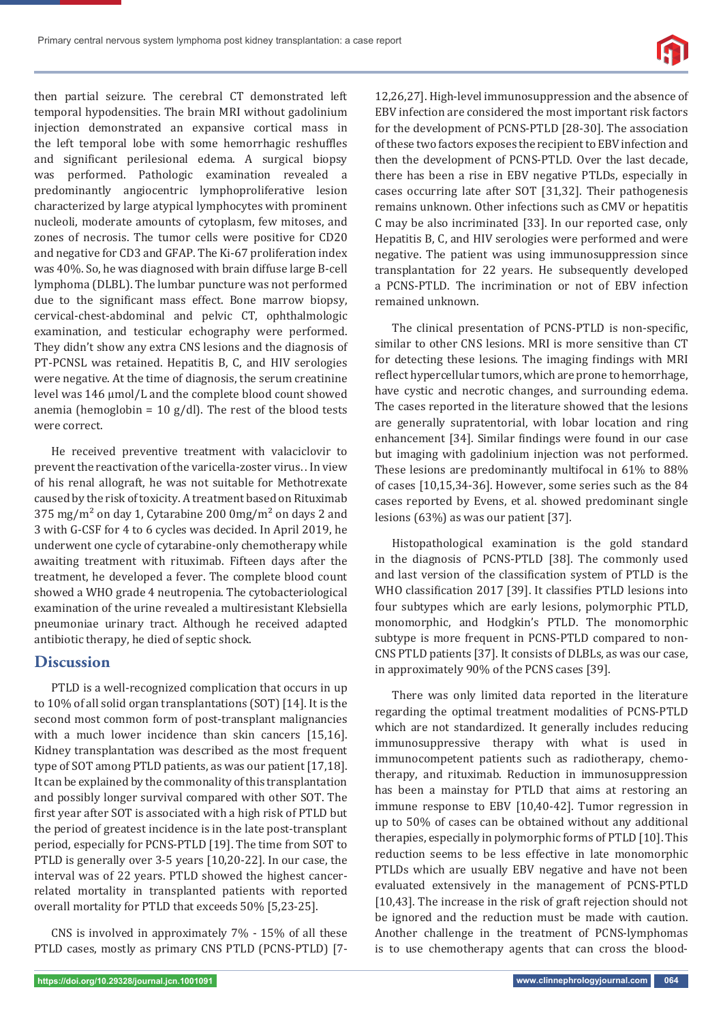

then partial seizure. The cerebral CT demonstrated left temporal hypodensities. The brain MRI without gadolinium injection demonstrated an expansive cortical mass in the left temporal lobe with some hemorrhagic reshuffles and significant perilesional edema. A surgical biopsy was performed. Pathologic examination revealed a predominantly angiocentric lymphoproliferative lesion characterized by large atypical lymphocytes with prominent nucleoli, moderate amounts of cytoplasm, few mitoses, and zones of necrosis. The tumor cells were positive for CD20 and negative for CD3 and GFAP. The Ki-67 proliferation index was 40%. So, he was diagnosed with brain diffuse large B-cell lymphoma (DLBL). The lumbar puncture was not performed due to the significant mass effect. Bone marrow biopsy, cervical-chest-abdominal and pelvic CT, ophthalmologic examination, and testicular echography were performed. They didn't show any extra CNS lesions and the diagnosis of PT-PCNSL was retained. Hepatitis B, C, and HIV serologies were negative. At the time of diagnosis, the serum creatinine level was 146 μmol/L and the complete blood count showed anemia (hemoglobin =  $10$  g/dl). The rest of the blood tests were correct.

He received preventive treatment with valaciclovir to prevent the reactivation of the varicella-zoster virus. . In view of his renal allograft, he was not suitable for Methotrexate caused by the risk of toxicity. A treatment based on Rituximab 375 mg/m<sup>2</sup> on day 1, Cytarabine 200 0mg/m<sup>2</sup> on days 2 and 3 with G-CSF for 4 to 6 cycles was decided. In April 2019, he underwent one cycle of cytarabine-only chemotherapy while awaiting treatment with rituximab. Fifteen days after the treatment, he developed a fever. The complete blood count showed a WHO grade 4 neutropenia. The cytobacteriological examination of the urine revealed a multiresistant Klebsiella pneumoniae urinary tract. Although he received adapted antibiotic therapy, he died of septic shock.

## **Discussion**

PTLD is a well-recognized complication that occurs in up to 10% of all solid organ transplantations (SOT) [14]. It is the second most common form of post-transplant malignancies with a much lower incidence than skin cancers [15,16]. Kidney transplantation was described as the most frequent type of SOT among PTLD patients, as was our patient [17,18]. It can be explained by the commonality of this transplantation and possibly longer survival compared with other SOT. The first year after SOT is associated with a high risk of PTLD but the period of greatest incidence is in the late post-transplant period, especially for PCNS-PTLD [19]. The time from SOT to PTLD is generally over 3-5 years [10,20-22]. In our case, the interval was of 22 years. PTLD showed the highest cancerrelated mortality in transplanted patients with reported overall mortality for PTLD that exceeds 50% [5,23-25].

CNS is involved in approximately 7% - 15% of all these PTLD cases, mostly as primary CNS PTLD (PCNS-PTLD) [7-

12,26,27]. High-level immunosuppression and the absence of EBV infection are considered the most important risk factors for the development of PCNS-PTLD [28-30]. The association of these two factors exposes the recipient to EBV infection and then the development of PCNS-PTLD. Over the last decade, there has been a rise in EBV negative PTLDs, especially in cases occurring late after SOT [31,32]. Their pathogenesis remains unknown. Other infections such as CMV or hepatitis C may be also incriminated [33]. In our reported case, only Hepatitis B, C, and HIV serologies were performed and were negative. The patient was using immunosuppression since transplantation for 22 years. He subsequently developed a PCNS-PTLD. The incrimination or not of EBV infection remained unknown.

The clinical presentation of PCNS-PTLD is non-specific, similar to other CNS lesions. MRI is more sensitive than CT for detecting these lesions. The imaging findings with MRI reflect hypercellular tumors, which are prone to hemorrhage, have cystic and necrotic changes, and surrounding edema. The cases reported in the literature showed that the lesions are generally supratentorial, with lobar location and ring enhancement [34]. Similar findings were found in our case but imaging with gadolinium injection was not performed. These lesions are predominantly multifocal in 61% to 88% of cases [10,15,34-36]. However, some series such as the 84 cases reported by Evens, et al. showed predominant single lesions (63%) as was our patient [37].

Histopathological examination is the gold standard in the diagnosis of PCNS-PTLD [38]. The commonly used and last version of the classification system of PTLD is the WHO classification 2017 [39]. It classifies PTLD lesions into four subtypes which are early lesions, polymorphic PTLD, monomorphic, and Hodgkin's PTLD. The monomorphic subtype is more frequent in PCNS-PTLD compared to non-CNS PTLD patients [37]. It consists of DLBLs, as was our case, in approximately 90% of the PCNS cases [39].

There was only limited data reported in the literature regarding the optimal treatment modalities of PCNS-PTLD which are not standardized. It generally includes reducing immunosuppressive therapy with what is used in immunocompetent patients such as radiotherapy, chemotherapy, and rituximab. Reduction in immunosuppression has been a mainstay for PTLD that aims at restoring an immune response to EBV [10,40-42]. Tumor regression in up to 50% of cases can be obtained without any additional therapies, especially in polymorphic forms of PTLD [10]. This reduction seems to be less effective in late monomorphic PTLDs which are usually EBV negative and have not been evaluated extensively in the management of PCNS-PTLD [10,43]. The increase in the risk of graft rejection should not be ignored and the reduction must be made with caution. Another challenge in the treatment of PCNS-lymphomas is to use chemotherapy agents that can cross the blood-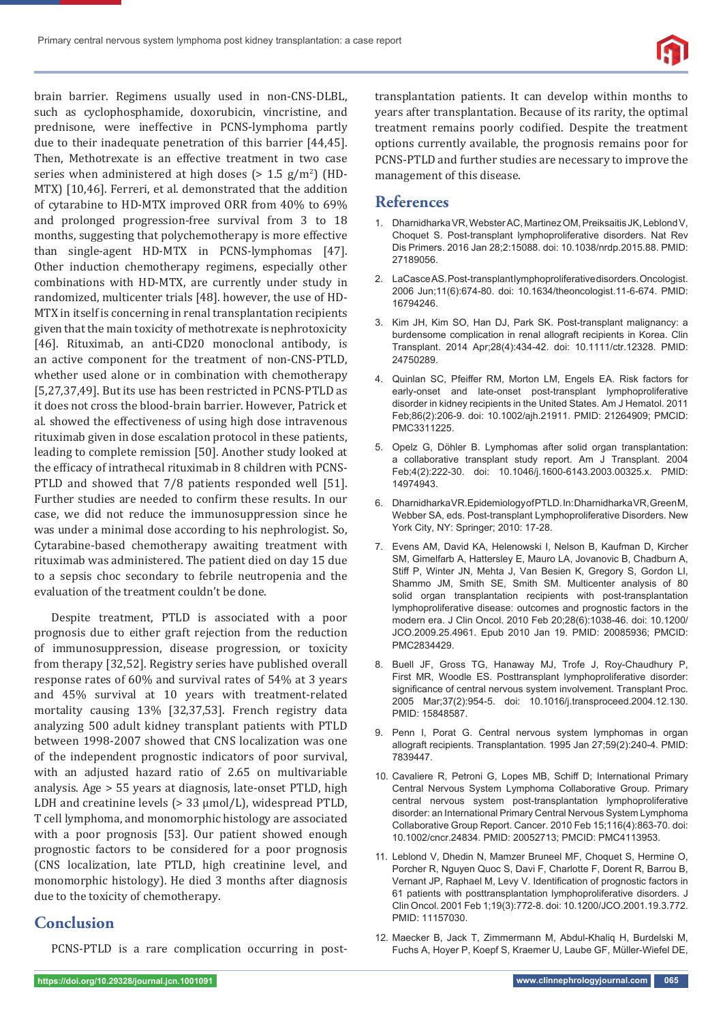

brain barrier. Regimens usually used in non-CNS-DLBL, such as cyclophosphamide, doxorubicin, vincristine, and prednisone, were ineffective in PCNS-lymphoma partly due to their inadequate penetration of this barrier [44,45]. Then, Methotrexate is an effective treatment in two case series when administered at high doses ( $> 1.5$  g/m<sup>2</sup>) (HD-MTX) [10,46]. Ferreri, et al. demonstrated that the addition of cytarabine to HD-MTX improved ORR from 40% to 69% and prolonged progression-free survival from 3 to 18 months, suggesting that polychemotherapy is more effective than single-agent HD-MTX in PCNS-lymphomas [47]. Other induction chemotherapy regimens, especially other combinations with HD-MTX, are currently under study in randomized, multicenter trials [48]. however, the use of HD-MTX in itself is concerning in renal transplantation recipients given that the main toxicity of methotrexate is nephrotoxicity [46]. Rituximab, an anti-CD20 monoclonal antibody, is an active component for the treatment of non-CNS-PTLD, whether used alone or in combination with chemotherapy [5,27,37,49]. But its use has been restricted in PCNS-PTLD as it does not cross the blood-brain barrier. However, Patrick et al. showed the effectiveness of using high dose intravenous rituximab given in dose escalation protocol in these patients, leading to complete remission [50]. Another study looked at the efficacy of intrathecal rituximab in 8 children with PCNS-PTLD and showed that 7/8 patients responded well [51]. Further studies are needed to confirm these results. In our case, we did not reduce the immunosuppression since he was under a minimal dose according to his nephrologist. So, Cytarabine-based chemotherapy awaiting treatment with rituximab was administered. The patient died on day 15 due to a sepsis choc secondary to febrile neutropenia and the evaluation of the treatment couldn't be done.

Despite treatment, PTLD is associated with a poor prognosis due to either graft rejection from the reduction of immunosuppression, disease progression, or toxicity from therapy [32,52]. Registry series have published overall response rates of 60% and survival rates of 54% at 3 years and 45% survival at 10 years with treatment-related mortality causing 13% [32,37,53]. French registry data analyzing 500 adult kidney transplant patients with PTLD between 1998-2007 showed that CNS localization was one of the independent prognostic indicators of poor survival, with an adjusted hazard ratio of 2.65 on multivariable analysis. Age > 55 years at diagnosis, late-onset PTLD, high LDH and creatinine levels (> 33 μmol/L), widespread PTLD, T cell lymphoma, and monomorphic histology are associated with a poor prognosis [53]. Our patient showed enough prognostic factors to be considered for a poor prognosis (CNS localization, late PTLD, high creatinine level, and monomorphic histology). He died 3 months after diagnosis due to the toxicity of chemotherapy.

## **Conclusion**

PCNS-PTLD is a rare complication occurring in post-

transplantation patients. It can develop within months to years after transplantation. Because of its rarity, the optimal treatment remains poorly codified. Despite the treatment options currently available, the prognosis remains poor for PCNS-PTLD and further studies are necessary to improve the management of this disease.

## **References**

- 1. Dharnidharka VR, Webster AC, Martinez OM, Preiksaitis JK, Leblond V, Choquet S. Post-transplant lymphoproliferative disorders. Nat Rev Dis Primers. 2016 Jan 28;2:15088. doi: 10.1038/nrdp.2015.88. PMID: 27189056.
- 2. LaCasce AS. Post-transplant lymphoproliferative disorders. Oncologist. 2006 Jun;11(6):674-80. doi: 10.1634/theoncologist.11-6-674. PMID: 16794246.
- 3. Kim JH, Kim SO, Han DJ, Park SK. Post-transplant malignancy: a burdensome complication in renal allograft recipients in Korea. Clin Transplant. 2014 Apr;28(4):434-42. doi: 10.1111/ctr.12328. PMID: 24750289.
- 4. Quinlan SC, Pfeiffer RM, Morton LM, Engels EA. Risk factors for early-onset and late-onset post-transplant lymphoproliferative disorder in kidney recipients in the United States. Am J Hematol. 2011 Feb;86(2):206-9. doi: 10.1002/ajh.21911. PMID: 21264909; PMCID: PMC3311225.
- 5. Opelz G, Döhler B. Lymphomas after solid organ transplantation: a collaborative transplant study report. Am J Transplant. 2004 Feb;4(2):222-30. doi: 10.1046/j.1600-6143.2003.00325.x. PMID: 14974943.
- 6. Dharnidharka VR.Epidemiology of PTLD. In: Dharnidharka VR, Green M, Webber SA, eds. Post-transplant Lymphoproliferative Disorders. New York City, NY: Springer; 2010: 17-28.
- 7. Evens AM, David KA, Helenowski I, Nelson B, Kaufman D, Kircher SM, Gimelfarb A, Hattersley E, Mauro LA, Jovanovic B, Chadburn A, Stiff P, Winter JN, Mehta J, Van Besien K, Gregory S, Gordon LI, Shammo JM, Smith SE, Smith SM. Multicenter analysis of 80 solid organ transplantation recipients with post-transplantation lymphoproliferative disease: outcomes and prognostic factors in the modern era. J Clin Oncol. 2010 Feb 20;28(6):1038-46. doi: 10.1200/ JCO.2009.25.4961. Epub 2010 Jan 19. PMID: 20085936; PMCID: PMC2834429.
- 8. Buell JF, Gross TG, Hanaway MJ, Trofe J, Roy-Chaudhury P, First MR, Woodle ES. Posttransplant lymphoproliferative disorder: significance of central nervous system involvement. Transplant Proc. 2005 Mar;37(2):954-5. doi: 10.1016/j.transproceed.2004.12.130. PMID: 15848587.
- Penn I, Porat G. Central nervous system lymphomas in organ allograft recipients. Transplantation. 1995 Jan 27;59(2):240-4. PMID: 7839447.
- 10. Cavaliere R, Petroni G, Lopes MB, Schiff D; International Primary Central Nervous System Lymphoma Collaborative Group. Primary central nervous system post-transplantation lymphoproliferative disorder: an International Primary Central Nervous System Lymphoma Collaborative Group Report. Cancer. 2010 Feb 15;116(4):863-70. doi: 10.1002/cncr.24834. PMID: 20052713; PMCID: PMC4113953.
- 11. Leblond V, Dhedin N, Mamzer Bruneel MF, Choquet S, Hermine O, Porcher R, Nguyen Quoc S, Davi F, Charlotte F, Dorent R, Barrou B, Vernant JP, Raphael M, Levy V. Identification of prognostic factors in 61 patients with posttransplantation lymphoproliferative disorders. J Clin Oncol. 2001 Feb 1;19(3):772-8. doi: 10.1200/JCO.2001.19.3.772. PMID: 11157030.
- 12. Maecker B, Jack T, Zimmermann M, Abdul-Khaliq H, Burdelski M, Fuchs A, Hoyer P, Koepf S, Kraemer U, Laube GF, Müller-Wiefel DE,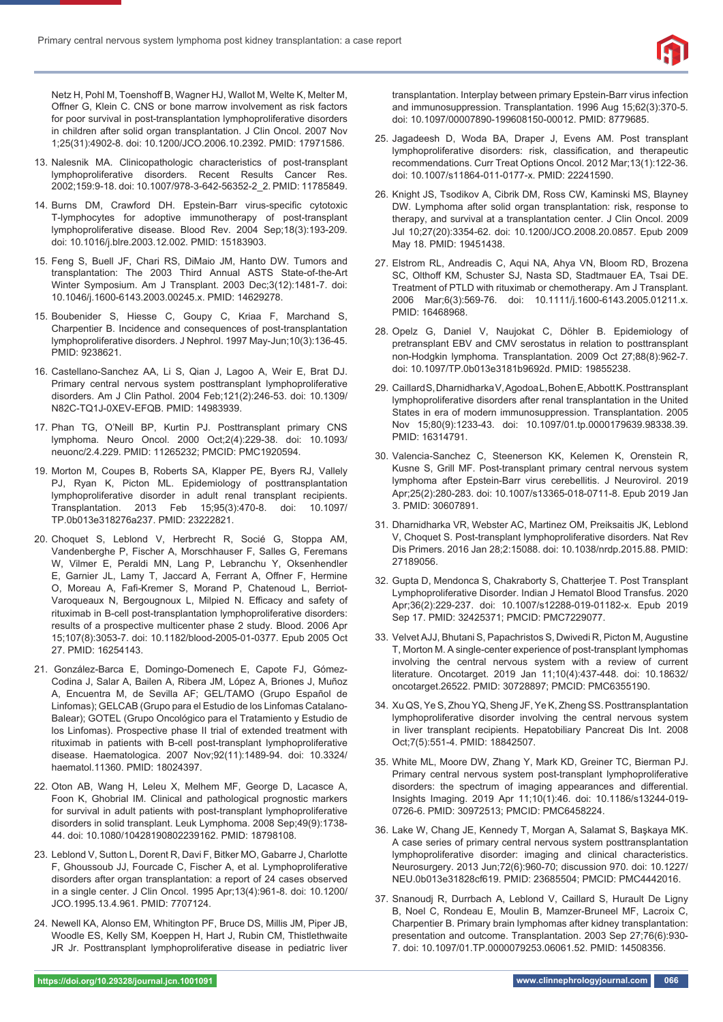

Netz H, Pohl M, Toenshoff B, Wagner HJ, Wallot M, Welte K, Melter M, Offner G, Klein C. CNS or bone marrow involvement as risk factors for poor survival in post-transplantation lymphoproliferative disorders in children after solid organ transplantation. J Clin Oncol. 2007 Nov 1;25(31):4902-8. doi: 10.1200/JCO.2006.10.2392. PMID: 17971586.

- 13. Nalesnik MA. Clinicopathologic characteristics of post-transplant lymphoproliferative disorders. Recent Results Cancer Res. 2002;159:9-18. doi: 10.1007/978-3-642-56352-2\_2. PMID: 11785849.
- 14. Burns DM, Crawford DH. Epstein-Barr virus-specific cytotoxic T-lymphocytes for adoptive immunotherapy of post-transplant lymphoproliferative disease. Blood Rev. 2004 Sep;18(3):193-209. doi: 10.1016/j.blre.2003.12.002. PMID: 15183903.
- 15. Feng S, Buell JF, Chari RS, DiMaio JM, Hanto DW. Tumors and transplantation: The 2003 Third Annual ASTS State-of-the-Art Winter Symposium. Am J Transplant. 2003 Dec;3(12):1481-7. doi: 10.1046/j.1600-6143.2003.00245.x. PMID: 14629278.
- 15. Boubenider S, Hiesse C, Goupy C, Kriaa F, Marchand S, Charpentier B. Incidence and consequences of post-transplantation lymphoproliferative disorders. J Nephrol. 1997 May-Jun;10(3):136-45. PMID: 9238621.
- 16. Castellano-Sanchez AA, Li S, Qian J, Lagoo A, Weir E, Brat DJ. Primary central nervous system posttransplant lymphoproliferative disorders. Am J Clin Pathol. 2004 Feb;121(2):246-53. doi: 10.1309/ N82C-TQ1J-0XEV-EFQB. PMID: 14983939.
- 17. Phan TG, O'Neill BP, Kurtin PJ. Posttransplant primary CNS lymphoma. Neuro Oncol. 2000 Oct;2(4):229-38. doi: 10.1093/ neuonc/2.4.229. PMID: 11265232; PMCID: PMC1920594.
- 19. Morton M, Coupes B, Roberts SA, Klapper PE, Byers RJ, Vallely PJ, Ryan K, Picton ML. Epidemiology of posttransplantation lymphoproliferative disorder in adult renal transplant recipients. Transplantation. 2013 Feb 15;95(3):470-8. doi: 10.1097/ TP.0b013e318276a237. PMID: 23222821.
- 20. Choquet S, Leblond V, Herbrecht R, Socié G, Stoppa AM, Vandenberghe P, Fischer A, Morschhauser F, Salles G, Feremans W, Vilmer E, Peraldi MN, Lang P, Lebranchu Y, Oksenhendler E, Garnier JL, Lamy T, Jaccard A, Ferrant A, Offner F, Hermine O, Moreau A, Fafi-Kremer S, Morand P, Chatenoud L, Berriot-Varoqueaux N, Bergougnoux L, Milpied N. Efficacy and safety of rituximab in B-cell post-transplantation lymphoproliferative disorders: results of a prospective multicenter phase 2 study. Blood. 2006 Apr 15;107(8):3053-7. doi: 10.1182/blood-2005-01-0377. Epub 2005 Oct 27. PMID: 16254143.
- 21. González-Barca E, Domingo-Domenech E, Capote FJ, Gómez-Codina J, Salar A, Bailen A, Ribera JM, López A, Briones J, Muñoz A, Encuentra M, de Sevilla AF; GEL/TAMO (Grupo Español de Linfomas); GELCAB (Grupo para el Estudio de los Linfomas Catalano-Balear); GOTEL (Grupo Oncológico para el Tratamiento y Estudio de los Linfomas). Prospective phase II trial of extended treatment with rituximab in patients with B-cell post-transplant lymphoproliferative disease. Haematologica. 2007 Nov;92(11):1489-94. doi: 10.3324/ haematol.11360. PMID: 18024397.
- 22. Oton AB, Wang H, Leleu X, Melhem MF, George D, Lacasce A, Foon K, Ghobrial IM. Clinical and pathological prognostic markers for survival in adult patients with post-transplant lymphoproliferative disorders in solid transplant. Leuk Lymphoma. 2008 Sep;49(9):1738- 44. doi: 10.1080/10428190802239162. PMID: 18798108.
- 23. Leblond V, Sutton L, Dorent R, Davi F, Bitker MO, Gabarre J, Charlotte F, Ghoussoub JJ, Fourcade C, Fischer A, et al. Lymphoproliferative disorders after organ transplantation: a report of 24 cases observed in a single center. J Clin Oncol. 1995 Apr;13(4):961-8. doi: 10.1200/ JCO.1995.13.4.961. PMID: 7707124.
- 24. Newell KA, Alonso EM, Whitington PF, Bruce DS, Millis JM, Piper JB, Woodle ES, Kelly SM, Koeppen H, Hart J, Rubin CM, Thistlethwaite JR Jr. Posttransplant lymphoproliferative disease in pediatric liver

transplantation. Interplay between primary Epstein-Barr virus infection and immunosuppression. Transplantation. 1996 Aug 15;62(3):370-5. doi: 10.1097/00007890-199608150-00012. PMID: 8779685.

- 25. Jagadeesh D, Woda BA, Draper J, Evens AM. Post transplant lymphoproliferative disorders: risk, classification, and therapeutic recommendations. Curr Treat Options Oncol. 2012 Mar;13(1):122-36. doi: 10.1007/s11864-011-0177-x. PMID: 22241590.
- 26. Knight JS, Tsodikov A, Cibrik DM, Ross CW, Kaminski MS, Blayney DW. Lymphoma after solid organ transplantation: risk, response to therapy, and survival at a transplantation center. J Clin Oncol. 2009 Jul 10;27(20):3354-62. doi: 10.1200/JCO.2008.20.0857. Epub 2009 May 18. PMID: 19451438.
- 27. Elstrom RL, Andreadis C, Aqui NA, Ahya VN, Bloom RD, Brozena SC, Olthoff KM, Schuster SJ, Nasta SD, Stadtmauer EA, Tsai DE. Treatment of PTLD with rituximab or chemotherapy. Am J Transplant. 2006 Mar;6(3):569-76. doi: 10.1111/j.1600-6143.2005.01211.x. PMID: 16468968.
- 28. Opelz G, Daniel V, Naujokat C, Döhler B. Epidemiology of pretransplant EBV and CMV serostatus in relation to posttransplant non-Hodgkin lymphoma. Transplantation. 2009 Oct 27;88(8):962-7. doi: 10.1097/TP.0b013e3181b9692d. PMID: 19855238.
- 29. Caillard S, Dharnidharka V, Agodoa L, Bohen E, Abbott K. Posttransplant lymphoproliferative disorders after renal transplantation in the United States in era of modern immunosuppression. Transplantation. 2005 Nov 15;80(9):1233-43. doi: 10.1097/01.tp.0000179639.98338.39. PMID: 16314791.
- 30. Valencia-Sanchez C, Steenerson KK, Kelemen K, Orenstein R, Kusne S, Grill MF. Post-transplant primary central nervous system lymphoma after Epstein-Barr virus cerebellitis. J Neurovirol. 2019 Apr;25(2):280-283. doi: 10.1007/s13365-018-0711-8. Epub 2019 Jan 3. PMID: 30607891.
- 31. Dharnidharka VR, Webster AC, Martinez OM, Preiksaitis JK, Leblond V, Choquet S. Post-transplant lymphoproliferative disorders. Nat Rev Dis Primers. 2016 Jan 28;2:15088. doi: 10.1038/nrdp.2015.88. PMID: 27189056.
- 32. Gupta D, Mendonca S, Chakraborty S, Chatterjee T. Post Transplant Lymphoproliferative Disorder. Indian J Hematol Blood Transfus. 2020 Apr;36(2):229-237. doi: 10.1007/s12288-019-01182-x. Epub 2019 Sep 17. PMID: 32425371; PMCID: PMC7229077.
- 33. Velvet AJJ, Bhutani S, Papachristos S, Dwivedi R, Picton M, Augustine T, Morton M. A single-center experience of post-transplant lymphomas involving the central nervous system with a review of current literature. Oncotarget. 2019 Jan 11;10(4):437-448. doi: 10.18632/ oncotarget.26522. PMID: 30728897; PMCID: PMC6355190.
- 34. Xu QS, Ye S, Zhou YQ, Sheng JF, Ye K, Zheng SS. Posttransplantation lymphoproliferative disorder involving the central nervous system in liver transplant recipients. Hepatobiliary Pancreat Dis Int. 2008 Oct;7(5):551-4. PMID: 18842507.
- 35. White ML, Moore DW, Zhang Y, Mark KD, Greiner TC, Bierman PJ. Primary central nervous system post-transplant lymphoproliferative disorders: the spectrum of imaging appearances and differential. Insights Imaging. 2019 Apr 11;10(1):46. doi: 10.1186/s13244-019- 0726-6. PMID: 30972513; PMCID: PMC6458224.
- 36. Lake W, Chang JE, Kennedy T, Morgan A, Salamat S, Başkaya MK. A case series of primary central nervous system posttransplantation lymphoproliferative disorder: imaging and clinical characteristics. Neurosurgery. 2013 Jun;72(6):960-70; discussion 970. doi: 10.1227/ NEU.0b013e31828cf619. PMID: 23685504; PMCID: PMC4442016.
- 37. Snanoudj R, Durrbach A, Leblond V, Caillard S, Hurault De Ligny B, Noel C, Rondeau E, Moulin B, Mamzer-Bruneel MF, Lacroix C, Charpentier B. Primary brain lymphomas after kidney transplantation: presentation and outcome. Transplantation. 2003 Sep 27;76(6):930- 7. doi: 10.1097/01.TP.0000079253.06061.52. PMID: 14508356.